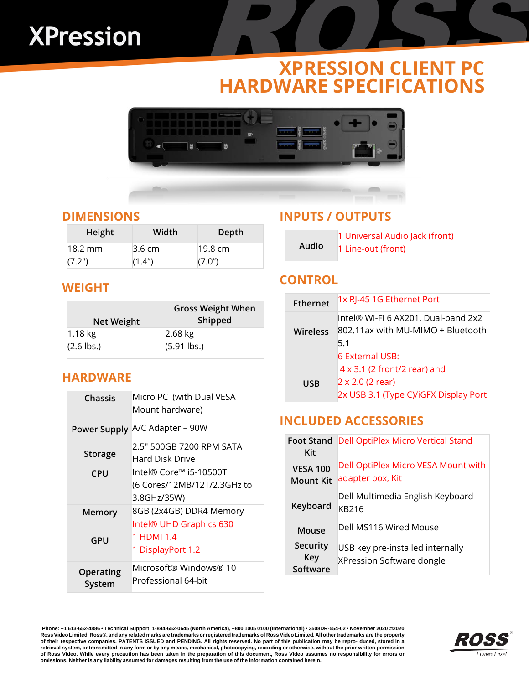# **XPression**

# **XPRESSION CLIENT PC HARDWARE SPECIFICATIONS**



#### **DIMENSIONS**

| Height  | Width            | Depth             |
|---------|------------------|-------------------|
| 18.2 mm | $3.6 \text{ cm}$ | $19.8 \text{ cm}$ |
| (7.2")  | (1.4")           | (7.0")            |

#### **WEIGHT**

| Net Weight   | <b>Gross Weight When</b><br>Shipped |
|--------------|-------------------------------------|
| $1.18$ kg    | $2.68$ kg                           |
| $(2.6$ lbs.) | $(5.91$ lbs.)                       |

#### **HARDWARE**

| Chassis             | Micro PC (with Dual VESA<br>Mount hardware)                          |  |
|---------------------|----------------------------------------------------------------------|--|
| <b>Power Supply</b> | A/C Adapter - 90W                                                    |  |
| <b>Storage</b>      | 2.5" 500GB 7200 RPM SATA<br>Hard Disk Drive                          |  |
| <b>CPU</b>          | lntel® Core™ i5-10500T<br>(6 Cores/12MB/12T/2.3GHz to<br>3.8GHz/35W) |  |
| Memory              | 8GB (2x4GB) DDR4 Memory                                              |  |
| GPU                 | Intel® UHD Graphics 630<br>1 HDMI 1.4<br>1 DisplayPort 1.2           |  |
| Operating<br>System | Microsoft® Windows® 10<br>Professional 64-bit                        |  |

#### **INPUTS / OUTPUTS**

|       | 1 Universal Audio Jack (front) |
|-------|--------------------------------|
| Audio | 1 Line-out (front)             |

#### **CONTROL**

| <b>Ethernet</b> | 1x RJ-45 1G Ethernet Port                                                       |
|-----------------|---------------------------------------------------------------------------------|
| <b>Wireless</b> | Intel® Wi-Fi 6 AX201, Dual-band 2x2<br>802.11ax with MU-MIMO + Bluetooth<br>5.1 |
|                 | <b>6 External USB:</b>                                                          |
|                 | $4 \times 3.1$ (2 front/2 rear) and                                             |
| USB             | 2 x 2.0 (2 rear)                                                                |
|                 | 2x USB 3.1 (Type C)/iGFX Display Port                                           |

#### **INCLUDED ACCESSORIES**

| <b>Foot Stand</b><br>Kit            | <b>Dell OptiPlex Micro Vertical Stand</b>                     |
|-------------------------------------|---------------------------------------------------------------|
| <b>VESA 100</b><br><b>Mount Kit</b> | Dell OptiPlex Micro VESA Mount with<br>adapter box, Kit       |
| Keyboard                            | Dell Multimedia English Keyboard -<br>KB216                   |
| Mouse                               | Dell MS116 Wired Mouse                                        |
| Security<br>Key<br>Software         | USB key pre-installed internally<br>XPression Software dongle |

**Phone: +1 613-652-4886 • Technical Support: 1-844-652-0645 (North America), +800 1005 0100 (International) • 3508DR-554-02 • November 2020 ©2020** Ross Video Limited. Ross®, and any related marks are trademarks or registered trademarks of Ross Video Limited. All other trademarks are the property<br>of their respective companies. PATENTS ISSUED and PENDING. All right retrieval system, or transmitted in any form or by any means, mechanical, photocopying, recording or otherwise, without the prior written permission **of Ross Video. While every precaution has been taken in the preparation of this document, Ross Video assumes no responsibility for errors or** omissions. Neither is any liability assumed for damages resulting from the use of the information contained herein.